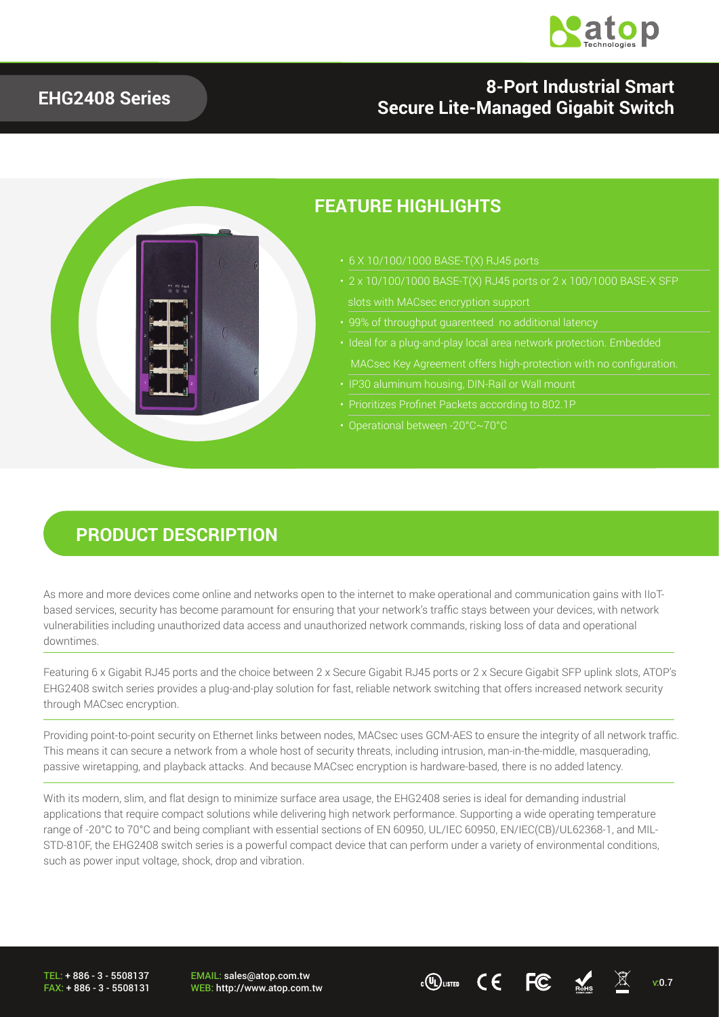

#### **EHG2408 Series**

### **8-Port Industrial Smart Secure Lite-Managed Gigabit Switch**

### **FEATURE HIGHLIGHTS**

- 6 X 10/100/1000 BASE-T(X) RJ45 ports
- 2 x 10/100/1000 BASE-T(X) RJ45 ports or 2 x 100/1000 BASE-X SFP slots with MACsec encryption support
- 99% of throughput guarenteed no additional latency
- 
- 
- 
- Operational between -20°C~70°C

#### **PRODUCT DESCRIPTION**

As more and more devices come online and networks open to the internet to make operational and communication gains with IIoTbased services, security has become paramount for ensuring that your network's traffic stays between your devices, with network vulnerabilities including unauthorized data access and unauthorized network commands, risking loss of data and operational downtimes.

Featuring 6 x Gigabit RJ45 ports and the choice between 2 x Secure Gigabit RJ45 ports or 2 x Secure Gigabit SFP uplink slots, ATOP's EHG2408 switch series provides a plug-and-play solution for fast, reliable network switching that offers increased network security through MACsec encryption.

Providing point-to-point security on Ethernet links between nodes, MACsec uses GCM-AES to ensure the integrity of all network traffic. This means it can secure a network from a whole host of security threats, including intrusion, man-in-the-middle, masquerading, passive wiretapping, and playback attacks. And because MACsec encryption is hardware-based, there is no added latency.

With its modern, slim, and flat design to minimize surface area usage, the EHG2408 series is ideal for demanding industrial applications that require compact solutions while delivering high network performance. Supporting a wide operating temperature range of -20°C to 70°C and being compliant with essential sections of EN 60950, UL/IEC 60950, EN/IEC(CB)/UL62368-1, and MIL-STD-810F, the EHG2408 switch series is a powerful compact device that can perform under a variety of environmental conditions, such as power input voltage, shock, drop and vibration.

TEL: + 886 - 3 - 5508137 FAX: + 886 - 3 - 5508131

EMAIL: sales@atop.com.tw EMAIL: sales@atop.com.tw computer  $\mathbb{C}$   $\mathbb{C}$   $\mathbb{C}$   $\mathbb{C}$   $\mathbb{C}$   $\mathbb{R}$   $\mathbb{R}$  v:0.7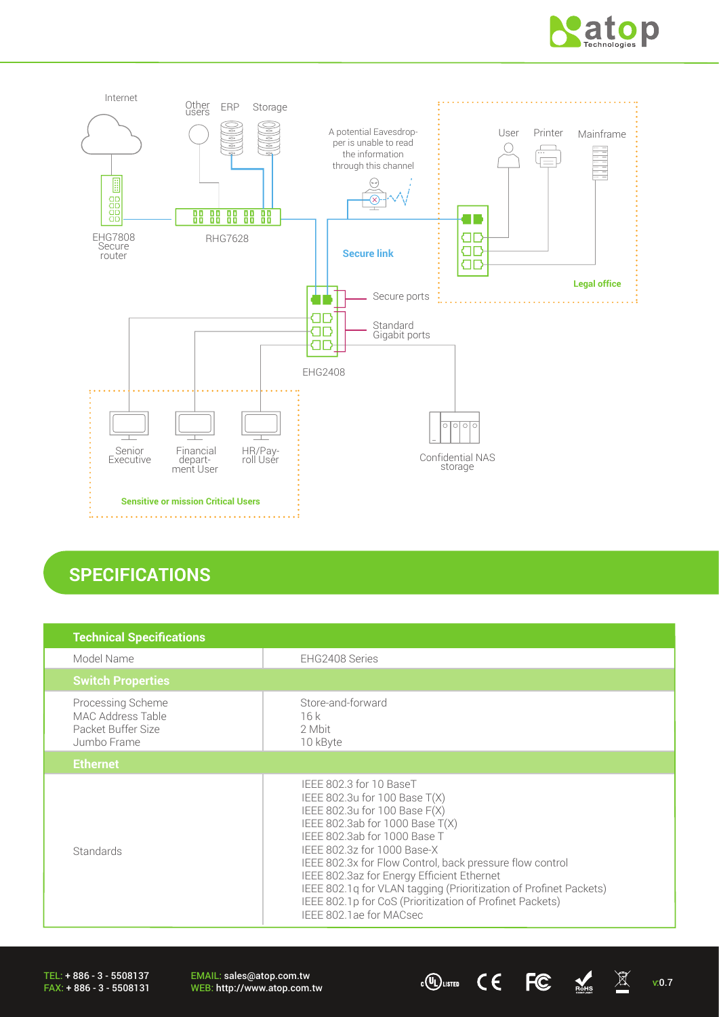



## **SPECIFICATIONS**

| <b>Technical Specifications</b>                                             |                                                                                                                                                                                                                                                                                                                                                                                                                                                                     |
|-----------------------------------------------------------------------------|---------------------------------------------------------------------------------------------------------------------------------------------------------------------------------------------------------------------------------------------------------------------------------------------------------------------------------------------------------------------------------------------------------------------------------------------------------------------|
| Model Name                                                                  | EHG2408 Series                                                                                                                                                                                                                                                                                                                                                                                                                                                      |
| <b>Switch Properties</b>                                                    |                                                                                                                                                                                                                                                                                                                                                                                                                                                                     |
| Processing Scheme<br>MAC Address Table<br>Packet Buffer Size<br>Jumbo Frame | Store-and-forward<br>16k<br>2 Mbit<br>10 kByte                                                                                                                                                                                                                                                                                                                                                                                                                      |
| <b>Ethernet</b>                                                             |                                                                                                                                                                                                                                                                                                                                                                                                                                                                     |
| <b>Standards</b>                                                            | IEEE 802.3 for 10 BaseT<br>IEEE 802.3u for 100 Base $T(X)$<br>IEEE 802.3u for 100 Base F(X)<br>IEEE 802.3ab for 1000 Base T(X)<br>IEEE 802.3ab for 1000 Base T<br>IEEE 802.3z for 1000 Base-X<br>IEEE 802.3x for Flow Control, back pressure flow control<br>IEEE 802.3az for Energy Efficient Ethernet<br>IEEE 802.1q for VLAN tagging (Prioritization of Profinet Packets)<br>IEEE 802.1p for CoS (Prioritization of Profinet Packets)<br>IEEE 802.1ae for MACsec |

TEL: + 886 - 3 - 5508137 FAX: + 886 - 3 - 5508131 EMAIL: sales@atop.com.tw EMAIL: sales@atop.com.tw computer  $\mathcal{C} \leftarrow \mathbb{R}$  with  $\mathbb{R}$  v:0.7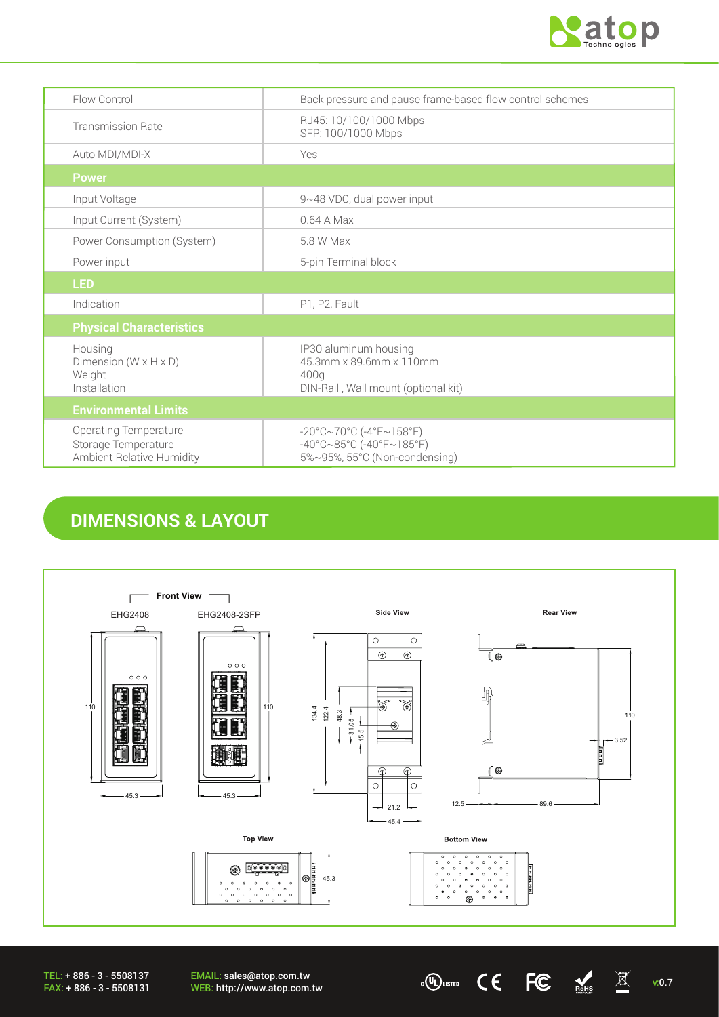

| Flow Control                                                                     | Back pressure and pause frame-based flow control schemes                                                                             |
|----------------------------------------------------------------------------------|--------------------------------------------------------------------------------------------------------------------------------------|
| <b>Transmission Rate</b>                                                         | RJ45: 10/100/1000 Mbps<br>SFP: 100/1000 Mbps                                                                                         |
| Auto MDI/MDI-X                                                                   | Yes                                                                                                                                  |
| <b>Power</b>                                                                     |                                                                                                                                      |
| Input Voltage                                                                    | 9~48 VDC, dual power input                                                                                                           |
| Input Current (System)                                                           | $0.64$ A Max                                                                                                                         |
| Power Consumption (System)                                                       | 5.8 W Max                                                                                                                            |
| Power input                                                                      | 5-pin Terminal block                                                                                                                 |
| <b>LED</b>                                                                       |                                                                                                                                      |
| Indication                                                                       | P1, P2, Fault                                                                                                                        |
| <b>Physical Characteristics</b>                                                  |                                                                                                                                      |
| Housing<br>Dimension ( $W \times H \times D$ )<br>Weight<br>Installation         | IP30 aluminum housing<br>45.3mm x 89.6mm x 110mm<br>400q<br>DIN-Rail, Wall mount (optional kit)                                      |
| <b>Environmental Limits</b>                                                      |                                                                                                                                      |
| <b>Operating Temperature</b><br>Storage Temperature<br>Ambient Relative Humidity | $-20^{\circ}$ C $\sim$ 70°C (-4°F $\sim$ 158°F)<br>$-40^{\circ}$ C $\sim$ 85°C (-40°F $\sim$ 185°F)<br>5%~95%, 55°C (Non-condensing) |

## **DIMENSIONS & LAYOUT**



EMAIL: sales@atop.com.tw EMAIL: sales@atop.com.tw  $\overline{w}$ usted  $\overline{C}$   $\overline{C}$   $\overline{M}$  v:0.7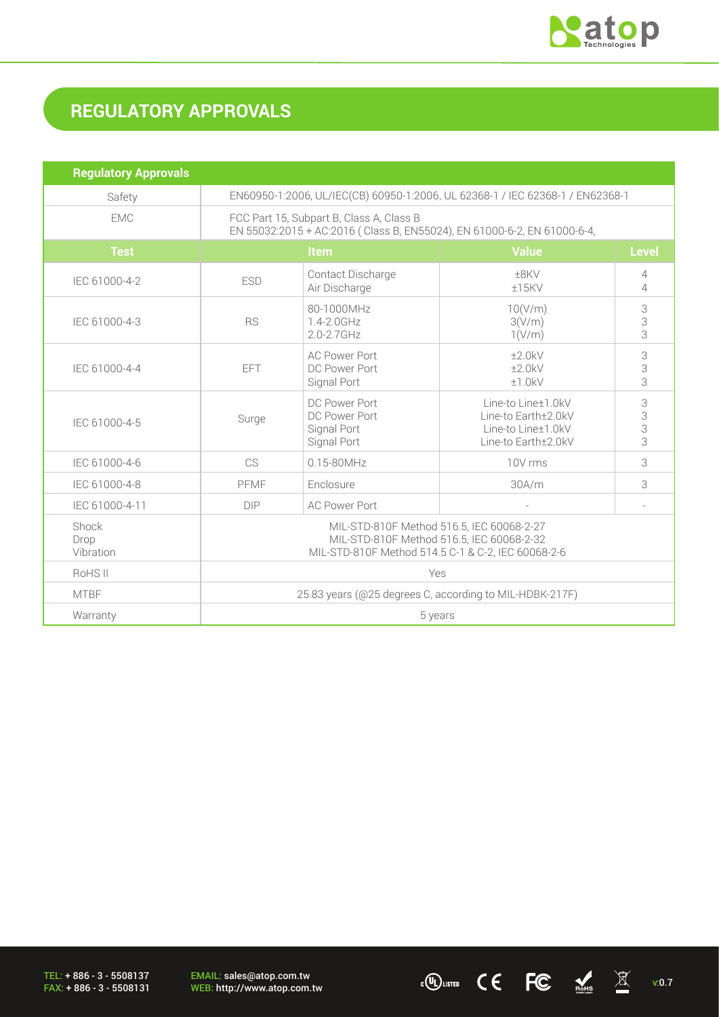

# **REGULATORY APPROVALS**

| <b>Regulatory Approvals</b> |                                                                                                                                              |                                                              |                                                                                        |                     |
|-----------------------------|----------------------------------------------------------------------------------------------------------------------------------------------|--------------------------------------------------------------|----------------------------------------------------------------------------------------|---------------------|
| Safety                      | EN60950-1:2006, UL/IEC(CB) 60950-1:2006, UL 62368-1 / IEC 62368-1 / EN62368-1                                                                |                                                              |                                                                                        |                     |
| <b>EMC</b>                  | FCC Part 15, Subpart B, Class A, Class B<br>EN 55032:2015 + AC:2016 ( Class B, EN55024), EN 61000-6-2, EN 61000-6-4,                         |                                                              |                                                                                        |                     |
| <b>Test</b>                 | <b>Value</b><br>Item                                                                                                                         |                                                              | <b>Level</b>                                                                           |                     |
| IEC 61000-4-2               | <b>ESD</b>                                                                                                                                   | Contact Discharge<br>Air Discharge                           | ±8KV<br>$±15$ KV                                                                       | $\overline{4}$<br>4 |
| IEC 61000-4-3               | <b>RS</b>                                                                                                                                    | 80-1000MHz<br>1.4-2.0GHz<br>$2.0 - 2.7$ GHz                  | 10(V/m)<br>3(V/m)<br>1(V/m)                                                            | 3<br>3<br>3         |
| IEC 61000-4-4               | EFT                                                                                                                                          | <b>AC Power Port</b><br>DC Power Port<br>Signal Port         | ±2.0kV<br>±2.0kV<br>±1.0kV                                                             | 3<br>3<br>3         |
| IEC 61000-4-5               | Surge                                                                                                                                        | DC Power Port<br>DC Power Port<br>Signal Port<br>Signal Port | Line-to Line±1.0kV<br>Line-to Earth±2.0kV<br>Line-to Line±1.0kV<br>Line-to Earth±2.0kV | 3<br>3<br>3<br>3    |
| IEC 61000-4-6               | CS                                                                                                                                           | 0.15-80MHz                                                   | 10V rms                                                                                | 3                   |
| IEC 61000-4-8               | PFMF                                                                                                                                         | Enclosure                                                    | 3<br>30A/m                                                                             |                     |
| IEC 61000-4-11              | <b>DIP</b>                                                                                                                                   | <b>AC Power Port</b>                                         |                                                                                        |                     |
| Shock<br>Drop<br>Vibration  | MIL-STD-810F Method 516.5, IEC 60068-2-27<br>MIL-STD-810F Method 516.5, IEC 60068-2-32<br>MIL-STD-810F Method 514.5 C-1 & C-2, IEC 60068-2-6 |                                                              |                                                                                        |                     |
| RoHS <sub>II</sub>          | Yes                                                                                                                                          |                                                              |                                                                                        |                     |
| <b>MTBF</b>                 | 25.83 years (@25 degrees C, according to MIL-HDBK-217F)                                                                                      |                                                              |                                                                                        |                     |
| Warranty                    | 5 years                                                                                                                                      |                                                              |                                                                                        |                     |

TEL: + 886 - 3 - 5508137 FAX: + 886 - 3 - 5508131